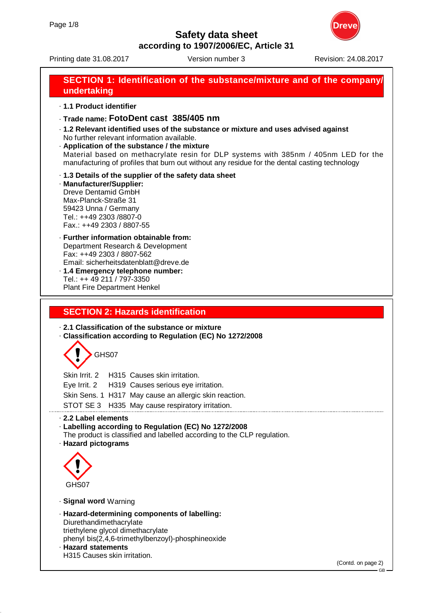Printing date 31.08.2017 **Version number 3** Revision: 24.08.2017

# **SECTION 1: Identification of the substance/mixture and of the company/ undertaking**

· **1.1 Product identifier**

- · **Trade name: FotoDent cast 385/405 nm**
- · **1.2 Relevant identified uses of the substance or mixture and uses advised against** No further relevant information available.
- · **Application of the substance / the mixture**

Material based on methacrylate resin for DLP systems with 385nm / 405nm LED for the manufacturing of profiles that burn out without any residue for the dental casting technology

- · **1.3 Details of the supplier of the safety data sheet**
- · **Manufacturer/Supplier:** Dreve Dentamid GmbH Max-Planck-Straße 31 59423 Unna / Germany Tel.: ++49 2303 /8807-0 Fax.: ++49 2303 / 8807-55

#### · **Further information obtainable from:** Department Research & Development Fax: ++49 2303 / 8807-562 Email: sicherheitsdatenblatt@dreve.de · **1.4 Emergency telephone number:**

Tel.: ++ 49 211 / 797-3350 Plant Fire Department Henkel

# **SECTION 2: Hazards identification**

· **2.1 Classification of the substance or mixture**

· **Classification according to Regulation (EC) No 1272/2008**



Skin Irrit. 2 H315 Causes skin irritation. Eye Irrit. 2 H319 Causes serious eye irritation. Skin Sens. 1 H317 May cause an allergic skin reaction. STOT SE 3 H335 May cause respiratory irritation.

· **2.2 Label elements**

- · **Labelling according to Regulation (EC) No 1272/2008**
- The product is classified and labelled according to the CLP regulation.
- · **Hazard pictograms**



- · **Signal word** Warning
- · **Hazard-determining components of labelling:** Diurethandimethacrylate triethylene glycol dimethacrylate phenyl bis(2,4,6-trimethylbenzoyl)-phosphineoxide · **Hazard statements** H315 Causes skin irritation.

(Contd. on page 2)

GB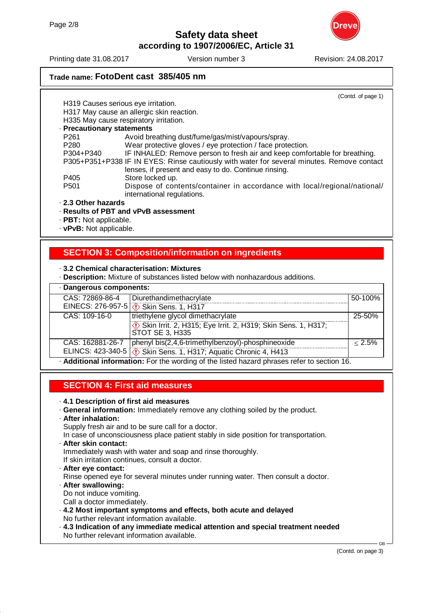

Printing date 31.08.2017 **Version number 3** Revision: 24.08.2017

# **Trade name: FotoDent cast 385/405 nm**

(Contd. of page 1)

| H319 Causes serious eye irritation.                                                        |                                                                                                         |  |  |
|--------------------------------------------------------------------------------------------|---------------------------------------------------------------------------------------------------------|--|--|
| H317 May cause an allergic skin reaction.                                                  |                                                                                                         |  |  |
| H335 May cause respiratory irritation.                                                     |                                                                                                         |  |  |
| · Precautionary statements                                                                 |                                                                                                         |  |  |
| P <sub>261</sub>                                                                           | Avoid breathing dust/fume/gas/mist/vapours/spray.                                                       |  |  |
| P <sub>280</sub>                                                                           | Wear protective gloves / eye protection / face protection.                                              |  |  |
| P304+P340                                                                                  | IF INHALED: Remove person to fresh air and keep comfortable for breathing.                              |  |  |
| P305+P351+P338 IF IN EYES: Rinse cautiously with water for several minutes. Remove contact |                                                                                                         |  |  |
|                                                                                            | lenses, if present and easy to do. Continue rinsing.                                                    |  |  |
| P405                                                                                       | Store locked up.                                                                                        |  |  |
| P <sub>501</sub>                                                                           | Dispose of contents/container in accordance with local/regional/national/<br>international regulations. |  |  |
| 2.3 Other hazards                                                                          |                                                                                                         |  |  |

# · **Results of PBT and vPvB assessment**

- · **PBT:** Not applicable.
- · **vPvB:** Not applicable.

# **SECTION 3: Composition/information on ingredients**

#### · **3.2 Chemical characterisation: Mixtures**

· **Description:** Mixture of substances listed below with nonhazardous additions.

| · Dangerous components:                                                                     |                                                                                     |         |  |
|---------------------------------------------------------------------------------------------|-------------------------------------------------------------------------------------|---------|--|
| CAS: 72869-86-4                                                                             | Diurethandimethacrylate                                                             | 50-100% |  |
|                                                                                             | EINECS: 276-957-5 ( $\Diamond$ ) Skin Sens. 1, H317                                 |         |  |
| CAS: 109-16-0                                                                               | triethylene glycol dimethacrylate                                                   | 25-50%  |  |
|                                                                                             | <b>EXECUTE:</b> 2, H315; Eye Irrit. 2, H319; Skin Sens. 1, H317;<br>STOT SE 3, H335 |         |  |
| CAS: 162881-26-7                                                                            | phenyl bis(2,4,6-trimethylbenzoyl)-phosphineoxide                                   | < 2.5%  |  |
|                                                                                             | ELINCS: 423-340-5 ( $\Diamond$ Skin Sens. 1, H317; Aquatic Chronic 4, H413          |         |  |
| - Additional information: For the wording of the listed hazard phrases refer to section 16. |                                                                                     |         |  |

## **SECTION 4: First aid measures**

- · **4.1 Description of first aid measures**
- · **General information:** Immediately remove any clothing soiled by the product.
- · **After inhalation:**

Supply fresh air and to be sure call for a doctor.

In case of unconsciousness place patient stably in side position for transportation.

· **After skin contact:**

Immediately wash with water and soap and rinse thoroughly.

If skin irritation continues, consult a doctor.

- · **After eye contact:** Rinse opened eye for several minutes under running water. Then consult a doctor. · **After swallowing:**
	- Do not induce vomiting.
- Call a doctor immediately.
- · **4.2 Most important symptoms and effects, both acute and delayed** No further relevant information available.
- · **4.3 Indication of any immediate medical attention and special treatment needed** No further relevant information available.

(Contd. on page 3)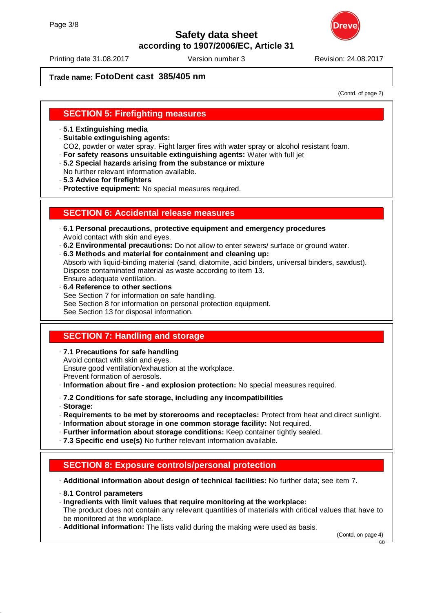

Printing date 31.08.2017 **Version number 3** Revision: 24.08.2017

## **Trade name: FotoDent cast 385/405 nm**

(Contd. of page 2)

## **SECTION 5: Firefighting measures**

· **5.1 Extinguishing media**

· **Suitable extinguishing agents:**

CO2, powder or water spray. Fight larger fires with water spray or alcohol resistant foam.

- · **For safety reasons unsuitable extinguishing agents:** Water with full jet
- · **5.2 Special hazards arising from the substance or mixture**
- No further relevant information available.
- · **5.3 Advice for firefighters**

· **Protective equipment:** No special measures required.

## **SECTION 6: Accidental release measures**

- · **6.1 Personal precautions, protective equipment and emergency procedures** Avoid contact with skin and eyes.
- · **6.2 Environmental precautions:** Do not allow to enter sewers/ surface or ground water.
- · **6.3 Methods and material for containment and cleaning up:** Absorb with liquid-binding material (sand, diatomite, acid binders, universal binders, sawdust). Dispose contaminated material as waste according to item 13. Ensure adequate ventilation.
- · **6.4 Reference to other sections** See Section 7 for information on safe handling. See Section 8 for information on personal protection equipment. See Section 13 for disposal information.

# **SECTION 7: Handling and storage**

· **7.1 Precautions for safe handling** Avoid contact with skin and eyes. Ensure good ventilation/exhaustion at the workplace. Prevent formation of aerosols.

- · **Information about fire and explosion protection:** No special measures required.
- · **7.2 Conditions for safe storage, including any incompatibilities**
- · **Storage:**
- · **Requirements to be met by storerooms and receptacles:** Protect from heat and direct sunlight.
- · **Information about storage in one common storage facility:** Not required.
- · **Further information about storage conditions:** Keep container tightly sealed.
- · **7.3 Specific end use(s)** No further relevant information available.

## **SECTION 8: Exposure controls/personal protection**

· **Additional information about design of technical facilities:** No further data; see item 7.

- · **8.1 Control parameters**
- · **Ingredients with limit values that require monitoring at the workplace:**
- The product does not contain any relevant quantities of materials with critical values that have to be monitored at the workplace.
- · **Additional information:** The lists valid during the making were used as basis.

(Contd. on page 4)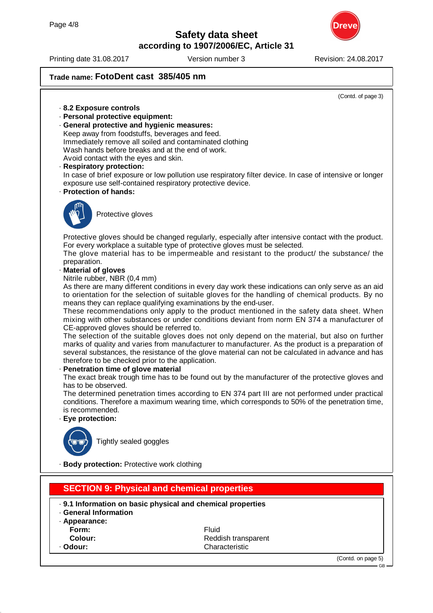



## **Trade name: FotoDent cast 385/405 nm**

(Contd. of page 3)

GB

## · **8.2 Exposure controls**

- · **Personal protective equipment:**
- · **General protective and hygienic measures:**

Keep away from foodstuffs, beverages and feed. Immediately remove all soiled and contaminated clothing

Wash hands before breaks and at the end of work.

Avoid contact with the eyes and skin.

· **Respiratory protection:**

In case of brief exposure or low pollution use respiratory filter device. In case of intensive or longer exposure use self-contained respiratory protective device.

· **Protection of hands:**



Protective gloves

Protective gloves should be changed regularly, especially after intensive contact with the product. For every workplace a suitable type of protective gloves must be selected.

The glove material has to be impermeable and resistant to the product/ the substance/ the preparation.

· **Material of gloves**

Nitrile rubber, NBR (0,4 mm)

As there are many different conditions in every day work these indications can only serve as an aid to orientation for the selection of suitable gloves for the handling of chemical products. By no means they can replace qualifying examinations by the end-user.

These recommendations only apply to the product mentioned in the safety data sheet. When mixing with other substances or under conditions deviant from norm EN 374 a manufacturer of CE-approved gloves should be referred to.

The selection of the suitable gloves does not only depend on the material, but also on further marks of quality and varies from manufacturer to manufacturer. As the product is a preparation of several substances, the resistance of the glove material can not be calculated in advance and has therefore to be checked prior to the application.

### **Penetration time of glove material**

The exact break trough time has to be found out by the manufacturer of the protective gloves and has to be observed.

The determined penetration times according to EN 374 part III are not performed under practical conditions. Therefore a maximum wearing time, which corresponds to 50% of the penetration time, is recommended.

### · **Eye protection:**



Tightly sealed goggles

· **Body protection:** Protective work clothing

| <b>SECTION 9: Physical and chemical properties</b>   |                                                                             |                    |
|------------------------------------------------------|-----------------------------------------------------------------------------|--------------------|
| <b>General Information</b><br>· Appearance:<br>Form: | . 9.1 Information on basic physical and chemical properties<br><b>Fluid</b> |                    |
| Colour:                                              | Reddish transparent                                                         |                    |
| · Odour:                                             | Characteristic                                                              |                    |
|                                                      |                                                                             | (Contd. on page 5) |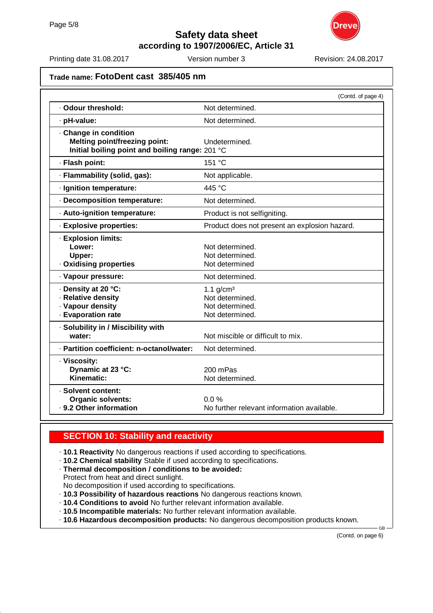

Printing date 31.08.2017 **Version number 3** Revision: 24.08.2017

## **Trade name: FotoDent cast 385/405 nm**

|                                                                                                         | (Contd. of page 4)                                                   |
|---------------------------------------------------------------------------------------------------------|----------------------------------------------------------------------|
| · Odour threshold:                                                                                      | Not determined.                                                      |
| · pH-value:                                                                                             | Not determined.                                                      |
| Change in condition<br>Melting point/freezing point:<br>Initial boiling point and boiling range: 201 °C | Undetermined.                                                        |
| · Flash point:                                                                                          | 151 °C                                                               |
| · Flammability (solid, gas):                                                                            | Not applicable.                                                      |
| · Ignition temperature:                                                                                 | 445 °C                                                               |
| · Decomposition temperature:                                                                            | Not determined.                                                      |
| · Auto-ignition temperature:                                                                            | Product is not selfigniting.                                         |
| · Explosive properties:                                                                                 | Product does not present an explosion hazard.                        |
| · Explosion limits:<br>Lower:<br>Upper:<br>. Oxidising properties                                       | Not determined.<br>Not determined.<br>Not determined                 |
| · Vapour pressure:                                                                                      | Not determined.                                                      |
| · Density at 20 °C:<br>· Relative density<br>· Vapour density<br>· Evaporation rate                     | 1.1 $g/cm3$<br>Not determined.<br>Not determined.<br>Not determined. |
| · Solubility in / Miscibility with<br>water:                                                            | Not miscible or difficult to mix.                                    |
| - Partition coefficient: n-octanol/water:                                                               | Not determined.                                                      |
| · Viscosity:<br>Dynamic at 23 °C:<br>Kinematic:                                                         | 200 mPas<br>Not determined.                                          |
| · Solvent content:<br><b>Organic solvents:</b><br>· 9.2 Other information                               | 0.0%<br>No further relevant information available.                   |

# **SECTION 10: Stability and reactivity**

· **10.1 Reactivity** No dangerous reactions if used according to specifications.

- · **10.2 Chemical stability** Stable if used according to specifications.
- · **Thermal decomposition / conditions to be avoided:** Protect from heat and direct sunlight.
- No decomposition if used according to specifications.
- · **10.3 Possibility of hazardous reactions** No dangerous reactions known.
- · **10.4 Conditions to avoid** No further relevant information available.
- · **10.5 Incompatible materials:** No further relevant information available.
- · **10.6 Hazardous decomposition products:** No dangerous decomposition products known.

(Contd. on page 6)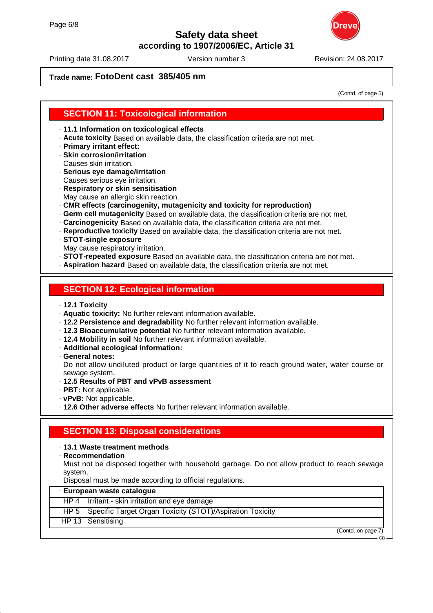

Printing date 31.08.2017 **Version number 3** Revision: 24.08.2017

# **Trade name: FotoDent cast 385/405 nm**

(Contd. of page 5)

## **SECTION 11: Toxicological information**

· **11.1 Information on toxicological effects**

- · **Acute toxicity** Based on available data, the classification criteria are not met.
- · **Primary irritant effect:**
- · **Skin corrosion/irritation**
- Causes skin irritation.
- · **Serious eye damage/irritation** Causes serious eye irritation.
- · **Respiratory or skin sensitisation**
- May cause an allergic skin reaction.
- · **CMR effects (carcinogenity, mutagenicity and toxicity for reproduction)**
- · **Germ cell mutagenicity** Based on available data, the classification criteria are not met.
- · **Carcinogenicity** Based on available data, the classification criteria are not met.
- · **Reproductive toxicity** Based on available data, the classification criteria are not met.
- · **STOT-single exposure**
- May cause respiratory irritation.
- · **STOT-repeated exposure** Based on available data, the classification criteria are not met.
- · **Aspiration hazard** Based on available data, the classification criteria are not met.

## **SECTION 12: Ecological information**

- · **12.1 Toxicity**
- · **Aquatic toxicity:** No further relevant information available.
- · **12.2 Persistence and degradability** No further relevant information available.
- · **12.3 Bioaccumulative potential** No further relevant information available.
- · **12.4 Mobility in soil** No further relevant information available.
- · **Additional ecological information:**
- · **General notes:**

Do not allow undiluted product or large quantities of it to reach ground water, water course or sewage system.

- · **12.5 Results of PBT and vPvB assessment**
- · **PBT:** Not applicable.
- · **vPvB:** Not applicable.
- · **12.6 Other adverse effects** No further relevant information available.

# **SECTION 13: Disposal considerations**

#### · **13.1 Waste treatment methods**

· **Recommendation**

Must not be disposed together with household garbage. Do not allow product to reach sewage system.

Disposal must be made according to official regulations.

| - European waste catalogue |                                                                  |  |
|----------------------------|------------------------------------------------------------------|--|
|                            | HP 4   Irritant - skin irritation and eye damage                 |  |
|                            | HP 5   Specific Target Organ Toxicity (STOT)/Aspiration Toxicity |  |
|                            | HP 13   Sensitising                                              |  |
|                            | (Contd. on page 7)                                               |  |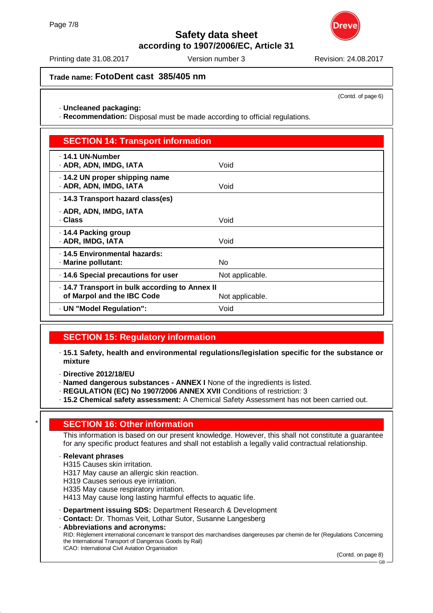

Printing date 31.08.2017 **Version number 3** Revision: 24.08.2017

# **Trade name: FotoDent cast 385/405 nm**

(Contd. of page 6)

· **Uncleaned packaging:**

· **Recommendation:** Disposal must be made according to official regulations.

| <b>SECTION 14: Transport information</b>                                                      |                 |  |
|-----------------------------------------------------------------------------------------------|-----------------|--|
| . 14.1 UN-Number<br>· ADR, ADN, IMDG, IATA                                                    | Void            |  |
| 14.2 UN proper shipping name<br>· ADR, ADN, IMDG, IATA                                        | Void            |  |
| · 14.3 Transport hazard class(es)                                                             |                 |  |
| · ADR, ADN, IMDG, IATA<br>· Class                                                             | Void            |  |
| ⋅ 14.4 Packing group<br>· ADR, IMDG, IATA                                                     | Void            |  |
| · 14.5 Environmental hazards:<br>· Marine pollutant:                                          | No              |  |
| 14.6 Special precautions for user                                                             | Not applicable. |  |
| 14.7 Transport in bulk according to Annex II<br>of Marpol and the IBC Code<br>Not applicable. |                 |  |
| - UN "Model Regulation":                                                                      | Void            |  |

## **SECTION 15: Regulatory information**

- · **15.1 Safety, health and environmental regulations/legislation specific for the substance or mixture**
- · **Directive 2012/18/EU**
- · **Named dangerous substances ANNEX I** None of the ingredients is listed.
- · **REGULATION (EC) No 1907/2006 ANNEX XVII** Conditions of restriction: 3
- · **15.2 Chemical safety assessment:** A Chemical Safety Assessment has not been carried out.

## **SECTION 16: Other information**

This information is based on our present knowledge. However, this shall not constitute a guarantee for any specific product features and shall not establish a legally valid contractual relationship.

#### · **Relevant phrases**

- H315 Causes skin irritation.
- H317 May cause an allergic skin reaction.
- H319 Causes serious eye irritation.
- H335 May cause respiratory irritation.
- H413 May cause long lasting harmful effects to aquatic life.
- · **Department issuing SDS:** Department Research & Development
- · **Contact:** Dr. Thomas Veit, Lothar Sutor, Susanne Langesberg
- · **Abbreviations and acronyms:** RID: Règlement international concernant le transport des marchandises dangereuses par chemin de fer (Regulations Concerning the International Transport of Dangerous Goods by Rail) ICAO: International Civil Aviation Organisation

(Contd. on page 8)

GB